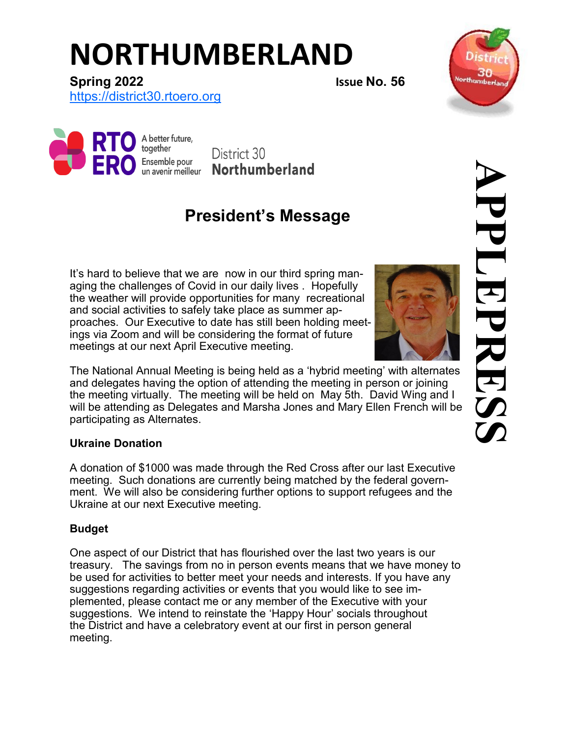# **NORTHUMBERLAND**



**Spring 2022 Issue No. 56**

[https://district30.rtoero.org](https://district30.rto-ero.org/)



District 30 **Northumberland** 

## **President's Message**

It's hard to believe that we are now in our third spring managing the challenges of Covid in our daily lives . Hopefully the weather will provide opportunities for many recreational and social activities to safely take place as summer approaches. Our Executive to date has still been holding meetings via Zoom and will be considering the format of future meetings at our next April Executive meeting.



The National Annual Meeting is being held as a 'hybrid meeting' with alternates and delegates having the option of attending the meeting in person or joining the meeting virtually. The meeting will be held on May 5th. David Wing and I will be attending as Delegates and Marsha Jones and Mary Ellen French will be participating as Alternates.

### **Ukraine Donation**

A donation of \$1000 was made through the Red Cross after our last Executive meeting. Such donations are currently being matched by the federal government. We will also be considering further options to support refugees and the Ukraine at our next Executive meeting.

### **Budget**

One aspect of our District that has flourished over the last two years is our treasury. The savings from no in person events means that we have money to be used for activities to better meet your needs and interests. If you have any suggestions regarding activities or events that you would like to see implemented, please contact me or any member of the Executive with your suggestions. We intend to reinstate the 'Happy Hour' socials throughout the District and have a celebratory event at our first in person general meeting.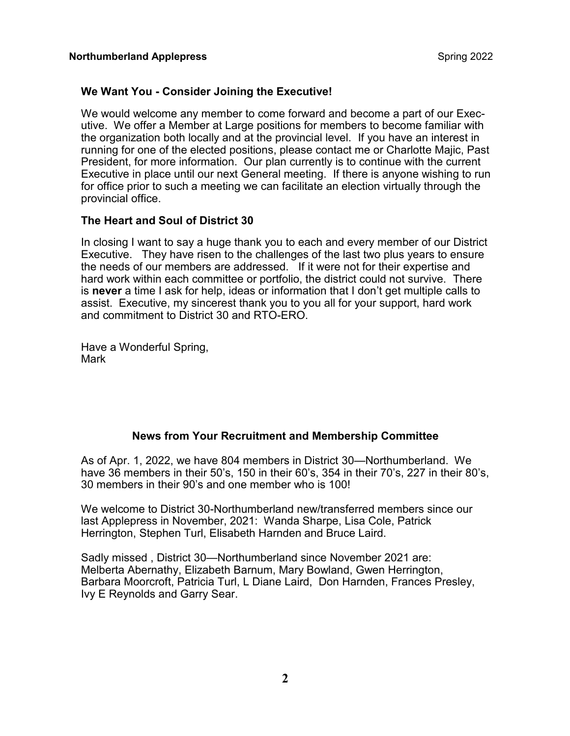### **We Want You - Consider Joining the Executive!**

We would welcome any member to come forward and become a part of our Executive. We offer a Member at Large positions for members to become familiar with the organization both locally and at the provincial level. If you have an interest in running for one of the elected positions, please contact me or Charlotte Majic, Past President, for more information. Our plan currently is to continue with the current Executive in place until our next General meeting. If there is anyone wishing to run for office prior to such a meeting we can facilitate an election virtually through the provincial office.

#### **The Heart and Soul of District 30**

In closing I want to say a huge thank you to each and every member of our District Executive. They have risen to the challenges of the last two plus years to ensure the needs of our members are addressed. If it were not for their expertise and hard work within each committee or portfolio, the district could not survive. There is **never** a time I ask for help, ideas or information that I don't get multiple calls to assist. Executive, my sincerest thank you to you all for your support, hard work and commitment to District 30 and RTO-ERO.

Have a Wonderful Spring, Mark

#### **News from Your Recruitment and Membership Committee**

As of Apr. 1, 2022, we have 804 members in District 30—Northumberland. We have 36 members in their 50's, 150 in their 60's, 354 in their 70's, 227 in their 80's, 30 members in their 90's and one member who is 100!

We welcome to District 30-Northumberland new/transferred members since our last Applepress in November, 2021: Wanda Sharpe, Lisa Cole, Patrick Herrington, Stephen Turl, Elisabeth Harnden and Bruce Laird.

Sadly missed , District 30—Northumberland since November 2021 are: Melberta Abernathy, Elizabeth Barnum, Mary Bowland, Gwen Herrington, Barbara Moorcroft, Patricia Turl, L Diane Laird, Don Harnden, Frances Presley, Ivy E Reynolds and Garry Sear.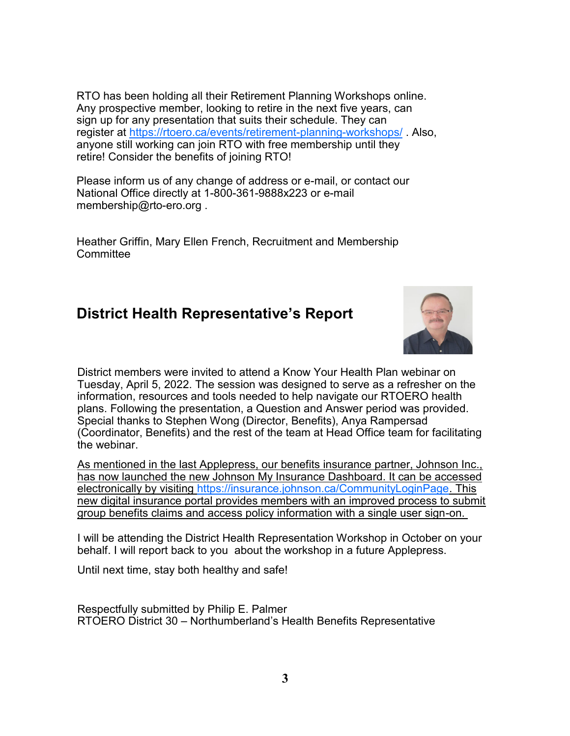RTO has been holding all their Retirement Planning Workshops online. Any prospective member, looking to retire in the next five years, can sign up for any presentation that suits their schedule. They can register at [https://rtoero.ca/events/retirement](https://rtoero.ca/events/retirement-planning-workshops/)-planning-workshops/. Also, anyone still working can join RTO with free membership until they retire! Consider the benefits of joining RTO!

Please inform us of any change of address or e-mail, or contact our National Office directly at 1-800-361-9888x223 or e-mail membership@rto-ero.org .

Heather Griffin, Mary Ellen French, Recruitment and Membership **Committee** 

### **District Health Representative's Report**



District members were invited to attend a Know Your Health Plan webinar on Tuesday, April 5, 2022. The session was designed to serve as a refresher on the information, resources and tools needed to help navigate our RTOERO health plans. Following the presentation, a Question and Answer period was provided. Special thanks to Stephen Wong (Director, Benefits), Anya Rampersad (Coordinator, Benefits) and the rest of the team at Head Office team for facilitating the webinar.

As mentioned in the last Applepress, our benefits insurance partner, Johnson Inc., has now launched the new Johnson My Insurance Dashboard. It can be accessed electronically by visiting [https://insurance.johnson.ca/CommunityLoginPage.](https://insurance.johnson.ca/CommunityLoginPage) This new digital insurance portal provides members with an improved process to submit group benefits claims and access policy information with a single user sign-on.

I will be attending the District Health Representation Workshop in October on your behalf. I will report back to you about the workshop in a future Applepress.

Until next time, stay both healthy and safe!

Respectfully submitted by Philip E. Palmer RTOERO District 30 – Northumberland's Health Benefits Representative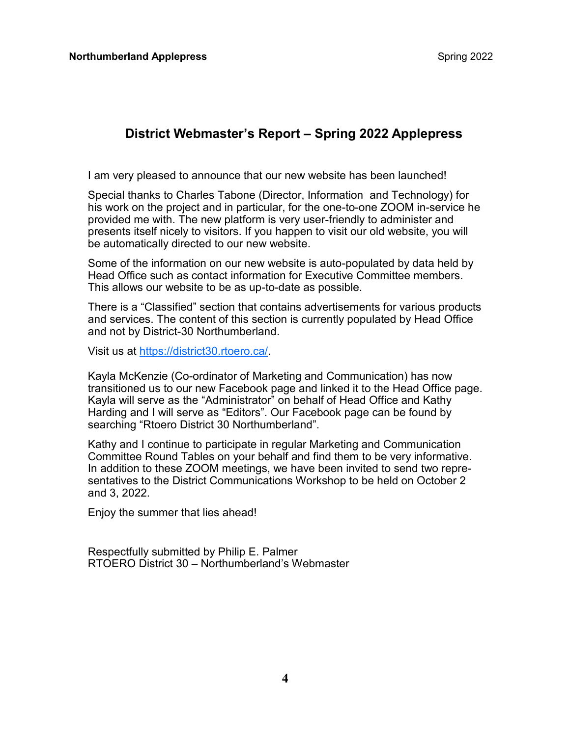### **District Webmaster's Report – Spring 2022 Applepress**

I am very pleased to announce that our new website has been launched!

Special thanks to Charles Tabone (Director, Information and Technology) for his work on the project and in particular, for the one-to-one ZOOM in-service he provided me with. The new platform is very user-friendly to administer and presents itself nicely to visitors. If you happen to visit our old website, you will be automatically directed to our new website.

Some of the information on our new website is auto-populated by data held by Head Office such as contact information for Executive Committee members. This allows our website to be as up-to-date as possible.

There is a "Classified" section that contains advertisements for various products and services. The content of this section is currently populated by Head Office and not by District-30 Northumberland.

Visit us at [https://district30.rtoero.ca/.](https://district30.rtoero.ca/)

Kayla McKenzie (Co-ordinator of Marketing and Communication) has now transitioned us to our new Facebook page and linked it to the Head Office page. Kayla will serve as the "Administrator" on behalf of Head Office and Kathy Harding and I will serve as "Editors". Our Facebook page can be found by searching "Rtoero District 30 Northumberland".

Kathy and I continue to participate in regular Marketing and Communication Committee Round Tables on your behalf and find them to be very informative. In addition to these ZOOM meetings, we have been invited to send two representatives to the District Communications Workshop to be held on October 2 and 3, 2022.

Enjoy the summer that lies ahead!

Respectfully submitted by Philip E. Palmer RTOERO District 30 – Northumberland's Webmaster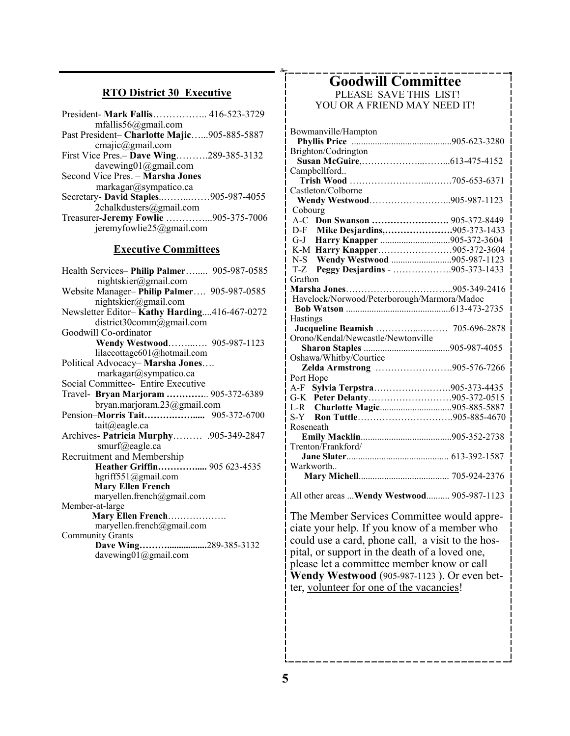### **RTO District 30 Executive**

| mfallis56@gmail.com                         |  |
|---------------------------------------------|--|
| Past President- Charlotte Majic905-885-5887 |  |
| cmaiic@gmail.com                            |  |
| First Vice Pres. - Dave Wing289-385-3132    |  |
| davewing01@gmail.com                        |  |
| Second Vice Pres. - Marsha Jones            |  |
| markagar@sympatico.ca                       |  |
| Secretary- David Staples905-987-4055        |  |
| 2chalkdusters@gmail.com                     |  |
| Treasurer-Jeremy Fowlie 905-375-7006        |  |
| jeremyfowlie25@gmail.com                    |  |
|                                             |  |

#### **Executive Committees**

| Health Services-Philip Palmer 905-987-0585  |
|---------------------------------------------|
| nightskier@gmail.com                        |
| Website Manager-Philip Palmer 905-987-0585  |
| nightskier@gmail.com                        |
| Newsletter Editor-Kathy Harding416-467-0272 |
| district30comm@gmail.com                    |
| Goodwill Co-ordinator                       |
| Wendy Westwood 905-987-1123                 |
| lilaccottage601@hotmail.com                 |
| Political Advocacy-Marsha Jones             |
| markagar@sympatico.ca                       |
| Social Committee- Entire Executive          |
| Travel- Bryan Marjoram  905-372-6389        |
| bryan.marjoram.23@gmail.com                 |
|                                             |
| $tail(\omega)$ eagle.ca                     |
| Archives- Patricia Murphy905-349-2847       |
| smurf@eagle.ca                              |
| Recruitment and Membership                  |
| Heather Griffin 905 623-4535                |
| hgriff551@gmail.com                         |
| <b>Mary Ellen French</b>                    |
| maryellen.french@gmail.com                  |
| Member-at-large                             |
| Mary Ellen French                           |
| maryellen.french@gmail.com                  |
| <b>Community Grants</b>                     |
| Dave Wing289-385-3132                       |
| davewing01@gmail.com                        |

#### **Goodwill Committee** PLEASE SAVE THIS LIST!

YOU OR A FRIEND MAY NEED IT!

| Bowmanville/Hampton                          |  |
|----------------------------------------------|--|
|                                              |  |
| Brighton/Codrington                          |  |
|                                              |  |
| Campbellford                                 |  |
|                                              |  |
| Castleton/Colborne                           |  |
| Wendy Westwood905-987-1123                   |  |
| Cobourg                                      |  |
| A-C Don Swanson  905-372-8449                |  |
| D-F Mike Desjardins,905-373-1433             |  |
| G-J Harry Knapper 905-372-3604               |  |
| K-M Harry Knapper905-372-3604                |  |
| N-S Wendy Westwood 905-987-1123              |  |
| T-Z Peggy Desjardins - 905-373-1433          |  |
| Grafton                                      |  |
|                                              |  |
| Havelock/Norwood/Peterborough/Marmora/Madoc  |  |
|                                              |  |
| Hastings                                     |  |
| Jacqueline Beamish  705-696-2878             |  |
| Orono/Kendal/Newcastle/Newtonville           |  |
|                                              |  |
| Oshawa/Whitby/Courtice                       |  |
| Zelda Armstrong 905-576-7266                 |  |
| Port Hope                                    |  |
| A-F Sylvia Terpstra905-373-4435              |  |
| G-K Peter Delanty905-372-0515                |  |
|                                              |  |
|                                              |  |
| Roseneath                                    |  |
|                                              |  |
| Trenton/Frankford/                           |  |
|                                              |  |
| Warkworth                                    |  |
|                                              |  |
|                                              |  |
| All other areas  Wendy Westwood 905-987-1123 |  |
|                                              |  |

The Member Services Committee would appreciate your help. If you know of a member who could use a card, phone call, a visit to the hospital, or support in the death of a loved one, please let a committee member know or call **Wendy Westwood** (905-987-1123 ). Or even better, volunteer for one of the vacancies!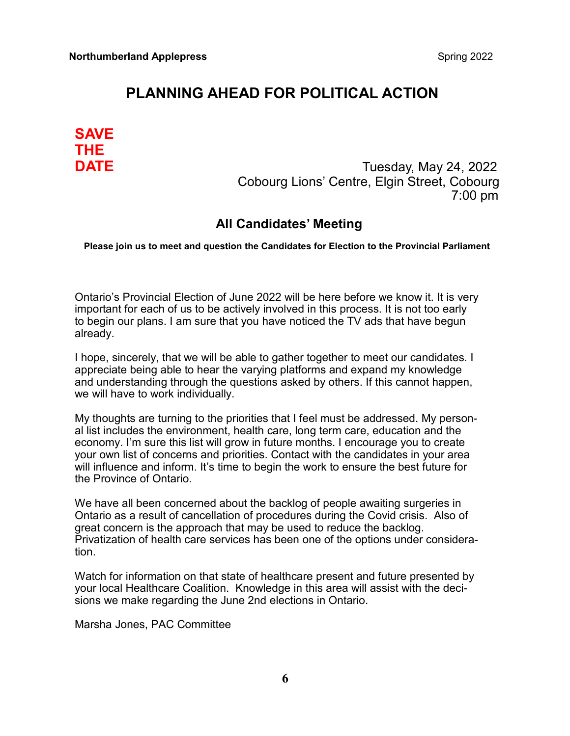### **PLANNING AHEAD FOR POLITICAL ACTION**

# **SAVE THE**

**DATE DATE Tuesday, May 24, 2022**  Cobourg Lions' Centre, Elgin Street, Cobourg 7:00 pm

### **All Candidates' Meeting**

#### **Please join us to meet and question the Candidates for Election to the Provincial Parliament**

Ontario's Provincial Election of June 2022 will be here before we know it. It is very important for each of us to be actively involved in this process. It is not too early to begin our plans. I am sure that you have noticed the TV ads that have begun already.

I hope, sincerely, that we will be able to gather together to meet our candidates. I appreciate being able to hear the varying platforms and expand my knowledge and understanding through the questions asked by others. If this cannot happen, we will have to work individually.

My thoughts are turning to the priorities that I feel must be addressed. My personal list includes the environment, health care, long term care, education and the economy. I'm sure this list will grow in future months. I encourage you to create your own list of concerns and priorities. Contact with the candidates in your area will influence and inform. It's time to begin the work to ensure the best future for the Province of Ontario.

We have all been concerned about the backlog of people awaiting surgeries in Ontario as a result of cancellation of procedures during the Covid crisis. Also of great concern is the approach that may be used to reduce the backlog. Privatization of health care services has been one of the options under consideration.

Watch for information on that state of healthcare present and future presented by your local Healthcare Coalition. Knowledge in this area will assist with the decisions we make regarding the June 2nd elections in Ontario.

Marsha Jones, PAC Committee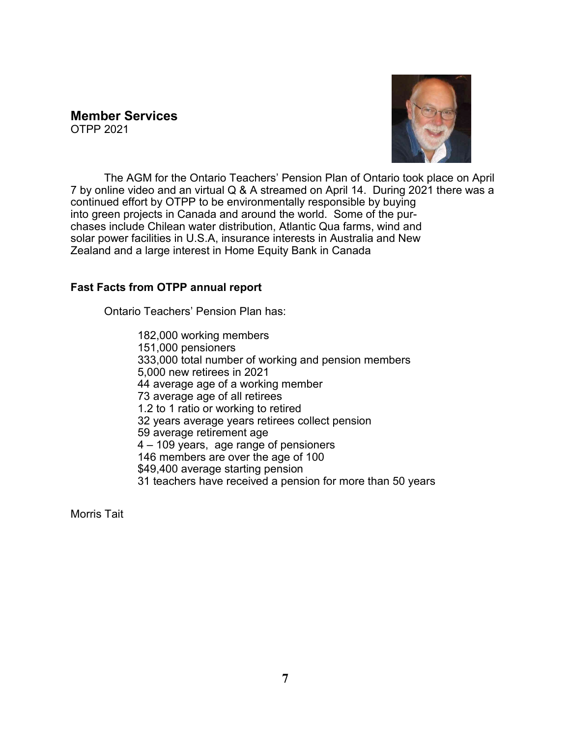#### **Member Services**  OTPP 2021



The AGM for the Ontario Teachers' Pension Plan of Ontario took place on April 7 by online video and an virtual Q & A streamed on April 14. During 2021 there was a continued effort by OTPP to be environmentally responsible by buying into green projects in Canada and around the world. Some of the purchases include Chilean water distribution, Atlantic Qua farms, wind and solar power facilities in U.S.A, insurance interests in Australia and New Zealand and a large interest in Home Equity Bank in Canada

### **Fast Facts from OTPP annual report**

Ontario Teachers' Pension Plan has:

182,000 working members 151,000 pensioners 333,000 total number of working and pension members 5,000 new retirees in 2021 44 average age of a working member 73 average age of all retirees 1.2 to 1 ratio or working to retired 32 years average years retirees collect pension 59 average retirement age 4 – 109 years, age range of pensioners 146 members are over the age of 100 \$49,400 average starting pension 31 teachers have received a pension for more than 50 years

Morris Tait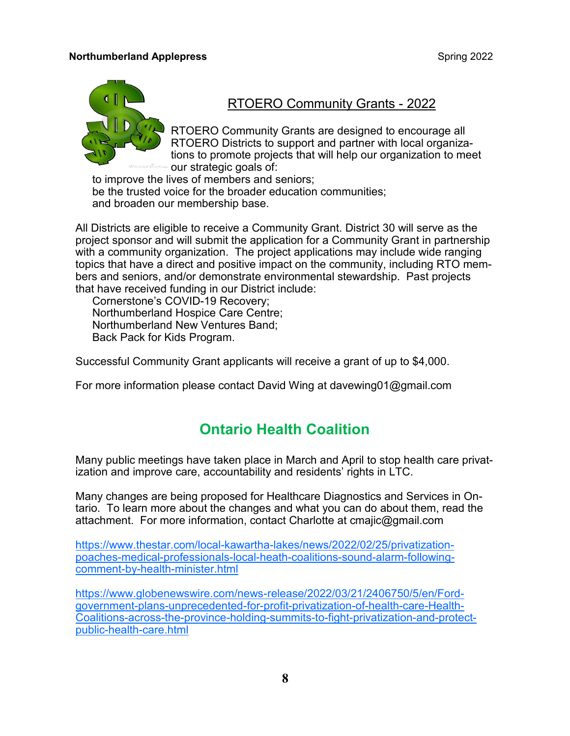#### **Northumberland Applepress Spring 2022 Spring 2022**



### RTOERO Community Grants - 2022

RTOERO Community Grants are designed to encourage all RTOERO Districts to support and partner with local organizations to promote projects that will help our organization to meet our strategic goals of:

to improve the lives of members and seniors; be the trusted voice for the broader education communities; and broaden our membership base.

All Districts are eligible to receive a Community Grant. District 30 will serve as the project sponsor and will submit the application for a Community Grant in partnership with a community organization. The project applications may include wide ranging topics that have a direct and positive impact on the community, including RTO members and seniors, and/or demonstrate environmental stewardship. Past projects that have received funding in our District include:

Cornerstone's COVID-19 Recovery; Northumberland Hospice Care Centre; Northumberland New Ventures Band; Back Pack for Kids Program.

Successful Community Grant applicants will receive a grant of up to \$4,000.

For more information please contact David Wing at davewing01@gmail.com

### **Ontario Health Coalition**

Many public meetings have taken place in March and April to stop health care privatization and improve care, accountability and residents' rights in LTC.

Many changes are being proposed for Healthcare Diagnostics and Services in Ontario. To learn more about the changes and what you can do about them, read the attachment. For more information, contact Charlotte at cmajic@gmail.com

https://www.thestar.com/local-kawartha-[lakes/news/2022/02/25/privatization](https://www.thestar.com/local-kawartha-lakes/news/2022/02/25/privatization-poaches-medical-professionals-local-heath-coalitions-sound-alarm-following-comment-by-health-minister.html)poaches-medical-[professionals](https://www.thestar.com/local-kawartha-lakes/news/2022/02/25/privatization-poaches-medical-professionals-local-heath-coalitions-sound-alarm-following-comment-by-health-minister.html)-local-heath-coalitions-sound-alarm-followingcomment-by-health-[minister.html](https://www.thestar.com/local-kawartha-lakes/news/2022/02/25/privatization-poaches-medical-professionals-local-heath-coalitions-sound-alarm-following-comment-by-health-minister.html)

https://www.globenewswire.com/news-[release/2022/03/21/2406750/5/en/Ford](https://www.globenewswire.com/news-release/2022/03/21/2406750/5/en/Ford-government-plans-unprecedented-for-profit-privatization-of-health-care-Health-Coalitions-across-the-province-holding-summits-to-fight-privatization-and-protect-public-health-care.html)government-plans-[unprecedented](https://www.globenewswire.com/news-release/2022/03/21/2406750/5/en/Ford-government-plans-unprecedented-for-profit-privatization-of-health-care-Health-Coalitions-across-the-province-holding-summits-to-fight-privatization-and-protect-public-health-care.html)-for-profit-privatization-of-health-care-Health-Coalitions-across-the-province-holding-summits-to-fight-[privatization](https://www.globenewswire.com/news-release/2022/03/21/2406750/5/en/Ford-government-plans-unprecedented-for-profit-privatization-of-health-care-Health-Coalitions-across-the-province-holding-summits-to-fight-privatization-and-protect-public-health-care.html)-and-protectpublic-health-[care.html](https://www.globenewswire.com/news-release/2022/03/21/2406750/5/en/Ford-government-plans-unprecedented-for-profit-privatization-of-health-care-Health-Coalitions-across-the-province-holding-summits-to-fight-privatization-and-protect-public-health-care.html)